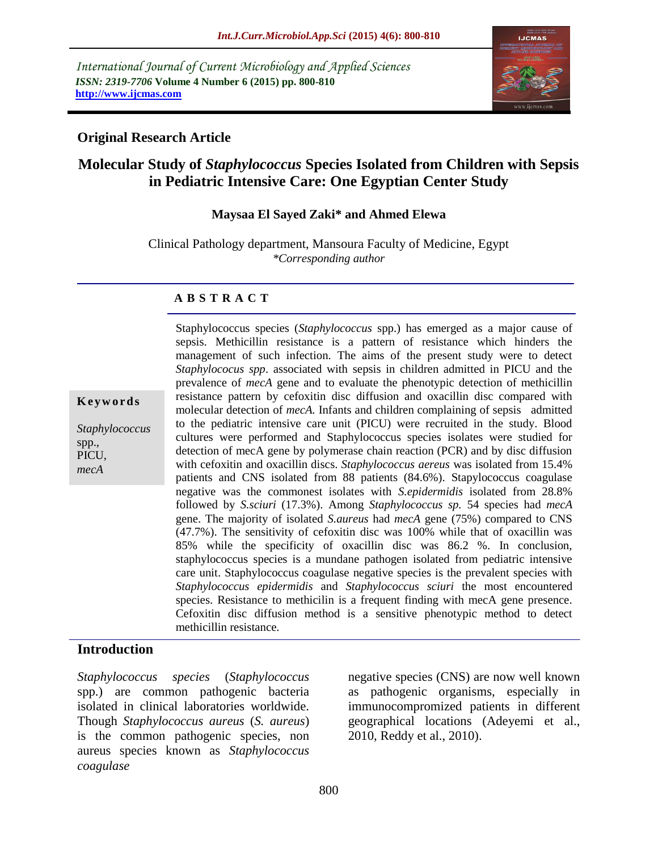*International Journal of Current Microbiology and Applied Sciences ISSN: 2319-7706* **Volume 4 Number 6 (2015) pp. 800-810 http://www.ijcmas.com**



## **Original Research Article**

# **Molecular Study of** *Staphylococcus* **Species Isolated from Children with Sepsis in Pediatric Intensive Care: One Egyptian Center Study**

#### **Maysaa El Sayed Zaki\* and Ahmed Elewa**

Clinical Pathology department, Mansoura Faculty of Medicine, Egypt *\*Corresponding author*

#### **A B S T R A C T**

*Staphylococcus* spp., PICU, *mecA*

**K e y w o r d s**

Staphylococcus species (*Staphylococcus* spp.) has emerged as a major cause of sepsis. Methicillin resistance is a pattern of resistance which hinders the management of such infection. The aims of the present study were to detect *Staphylococus spp*. associated with sepsis in children admitted in PICU and the prevalence of *mecA* gene and to evaluate the phenotypic detection of methicillin resistance pattern by cefoxitin disc diffusion and oxacillin disc compared with molecular detection of *mecA.* Infants and children complaining of sepsis admitted to the pediatric intensive care unit (PICU) were recruited in the study. Blood cultures were performed and Staphylococcus species isolates were studied for detection of mecA gene by polymerase chain reaction (PCR) and by disc diffusion with cefoxitin and oxacillin discs. *Staphylococcus aereus* was isolated from 15.4% patients and CNS isolated from 88 patients (84.6%). Stapylococcus coagulase negative was the commonest isolates with *S.epidermidis* isolated from 28.8% followed by *S.sciuri* (17.3%). Among *Staphylococcus sp.* 54 species had *mecA* gene. The majority of isolated *S.aureus* had *mecA* gene (75%) compared to CNS (47.7%). The sensitivity of cefoxitin disc was 100% while that of oxacillin was 85% while the specificity of oxacillin disc was 86.2 %. In conclusion, staphylococcus species is a mundane pathogen isolated from pediatric intensive care unit. Staphylococcus coagulase negative species is the prevalent species with *Staphylococcus epidermidis* and *Staphylococcus sciuri* the most encountered species. Resistance to methicilin is a frequent finding with mecA gene presence. Cefoxitin disc diffusion method is a sensitive phenotypic method to detect methicillin resistance.

### **Introduction**

*Staphylococcus species* (*Staphylococcus*  spp.) are common pathogenic bacteria isolated in clinical laboratories worldwide. Though *Staphylococcus aureus* (*S. aureus*) is the common pathogenic species, non aureus species known as *Staphylococcus coagulase*

negative species (CNS) are now well known as pathogenic organisms, especially in immunocompromized patients in different geographical locations (Adeyemi et al., 2010, Reddy et al., 2010).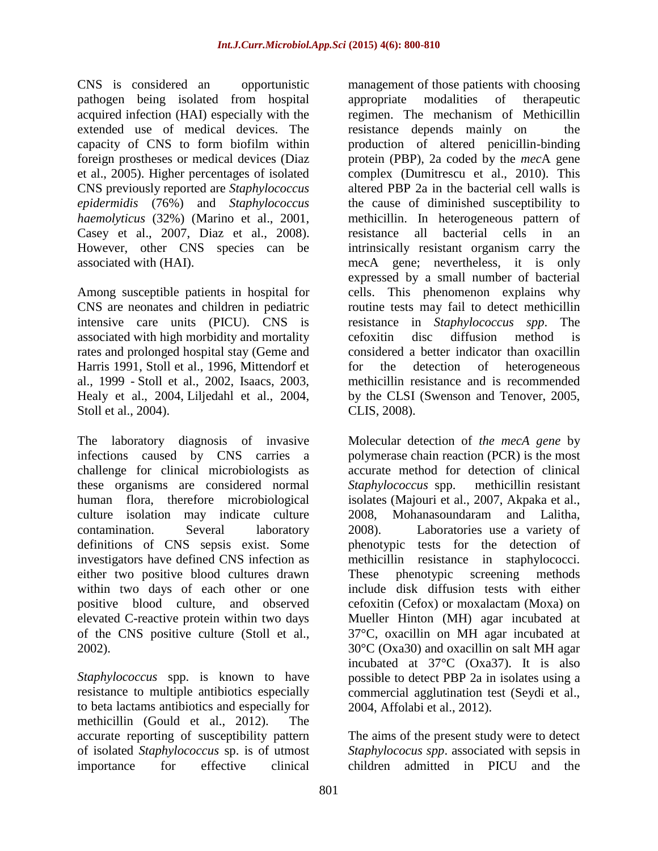CNS is considered an opportunistic pathogen being isolated from hospital acquired infection (HAI) especially with the extended use of medical devices. The capacity of CNS to form biofilm within foreign prostheses or medical devices (Diaz et al., 2005). Higher percentages of isolated CNS previously reported are *Staphylococcus epidermidis* (76%) and *Staphylococcus haemolyticus* (32%) (Marino et al., 2001, Casey et al., 2007, Diaz et al., 2008). However, other CNS species can be associated with (HAI).

Among susceptible patients in hospital for CNS are neonates and children in pediatric intensive care units (PICU). CNS is associated with high morbidity and mortality rates and prolonged hospital stay (Geme and Harris 1991, Stoll et al., 1996, Mittendorf et al., 1999 - Stoll et al., 2002, Isaacs, 2003, Healy et al., 2004, Liljedahl et al., 2004, Stoll et al., 2004).

The laboratory diagnosis of invasive infections caused by CNS carries a challenge for clinical microbiologists as these organisms are considered normal human flora, therefore microbiological culture isolation may indicate culture contamination. Several laboratory definitions of CNS sepsis exist. Some investigators have defined CNS infection as either two positive blood cultures drawn within two days of each other or one positive blood culture, and observed elevated C-reactive protein within two days of the CNS positive culture (Stoll et al., 2002).

*Staphylococcus* spp. is known to have resistance to multiple antibiotics especially to beta lactams antibiotics and especially for methicillin (Gould et al., 2012). The accurate reporting of susceptibility pattern of isolated *Staphylococcus* sp. is of utmost importance for effective clinical

management of those patients with choosing appropriate modalities of therapeutic regimen. The mechanism of Methicillin resistance depends mainly on the production of altered penicillin-binding protein (PBP), 2a coded by the *mec*A gene complex (Dumitrescu et al., 2010). This altered PBP 2a in the bacterial cell walls is the cause of diminished susceptibility to methicillin. In heterogeneous pattern of resistance all bacterial cells in an intrinsically resistant organism carry the mecA gene; nevertheless, it is only expressed by a small number of bacterial cells. This phenomenon explains why routine tests may fail to detect methicillin resistance in *Staphylococcus spp*. The cefoxitin disc diffusion method is considered a better indicator than oxacillin for the detection of heterogeneous methicillin resistance and is recommended by the CLSI (Swenson and Tenover, 2005, CLIS, 2008).

Molecular detection of *the mecA gene* by polymerase chain reaction (PCR) is the most accurate method for detection of clinical *Staphylococcus* spp. methicillin resistant isolates (Majouri et al., 2007, Akpaka et al., 2008, Mohanasoundaram and Lalitha, 2008). Laboratories use a variety of phenotypic tests for the detection of methicillin resistance in staphylococci. These phenotypic screening methods include disk diffusion tests with either cefoxitin (Cefox) or moxalactam (Moxa) on Mueller Hinton (MH) agar incubated at 37°C, oxacillin on MH agar incubated at 30°C (Oxa30) and oxacillin on salt MH agar incubated at 37°C (Oxa37). It is also possible to detect PBP 2a in isolates using a commercial agglutination test (Seydi et al., 2004, Affolabi et al., 2012).

The aims of the present study were to detect *Staphylococus spp*. associated with sepsis in children admitted in PICU and the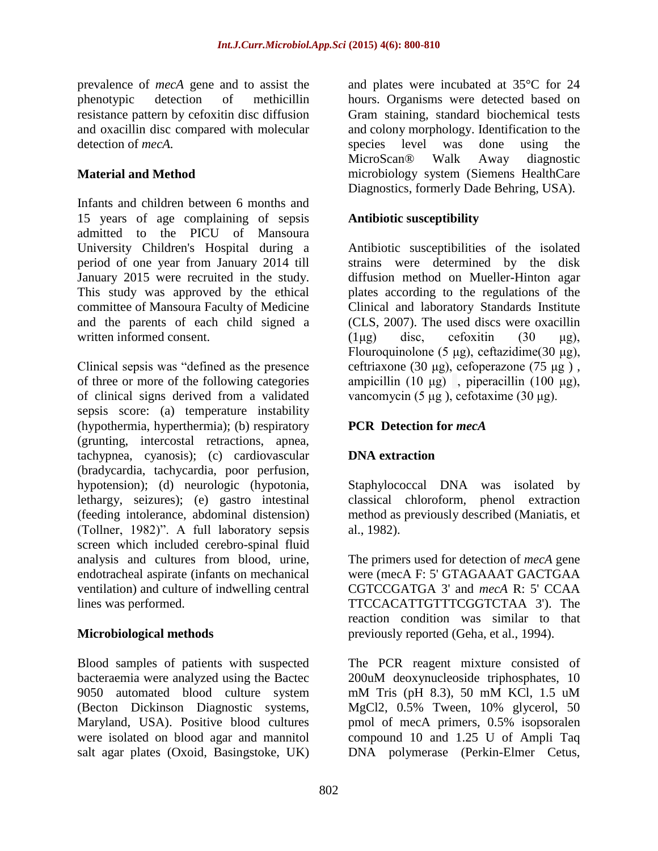prevalence of *mecA* gene and to assist the phenotypic detection of methicillin resistance pattern by cefoxitin disc diffusion and oxacillin disc compared with molecular detection of *mecA.*

## **Material and Method**

Infants and children between 6 months and 15 years of age complaining of sepsis admitted to the PICU of Mansoura University Children's Hospital during a period of one year from January 2014 till January 2015 were recruited in the study. This study was approved by the ethical committee of Mansoura Faculty of Medicine and the parents of each child signed a written informed consent.

Clinical sepsis was "defined as the presence of three or more of the following categories of clinical signs derived from a validated sepsis score: (a) temperature instability (hypothermia, hyperthermia); (b) respiratory (grunting, intercostal retractions, apnea, tachypnea, cyanosis); (c) cardiovascular (bradycardia, tachycardia, poor perfusion, hypotension); (d) neurologic (hypotonia, lethargy, seizures); (e) gastro intestinal (feeding intolerance, abdominal distension) (Tollner, 1982)". A full laboratory sepsis screen which included cerebro-spinal fluid analysis and cultures from blood, urine, endotracheal aspirate (infants on mechanical ventilation) and culture of indwelling central lines was performed.

### **Microbiological methods**

Blood samples of patients with suspected bacteraemia were analyzed using the Bactec 9050 automated blood culture system (Becton Dickinson Diagnostic systems, Maryland, USA). Positive blood cultures were isolated on blood agar and mannitol salt agar plates (Oxoid, Basingstoke, UK)

and plates were incubated at 35°C for 24 hours. Organisms were detected based on Gram staining, standard biochemical tests and colony morphology. Identification to the species level was done using the MicroScan® Walk Away diagnostic microbiology system (Siemens HealthCare Diagnostics, formerly Dade Behring, USA).

## **Antibiotic susceptibility**

Antibiotic susceptibilities of the isolated strains were determined by the disk diffusion method on Mueller-Hinton agar plates according to the regulations of the Clinical and laboratory Standards Institute (CLS, 2007). The used discs were oxacillin  $(1\mu$ g) disc, cefoxitin  $(30 \mu$ g), Flouroquinolone (5 μg), ceftazidime (30 μg), ceftriaxone (30 μg), cefoperazone (75 μg ) , ampicillin (10 μg), piperacillin (100 μg), vancomycin (5 μg ), cefotaxime (30 μg).

## **PCR Detection for** *mecA*

## **DNA extraction**

Staphylococcal DNA was isolated by classical chloroform, phenol extraction method as previously described (Maniatis, et al., 1982).

The primers used for detection of *mecA* gene were (mecA F: 5' GTAGAAAT GACTGAA CGTCCGATGA 3' and *mecA* R: 5' CCAA TTCCACATTGTTTCGGTCTAA 3'). The reaction condition was similar to that previously reported (Geha, et al., 1994).

The PCR reagent mixture consisted of 200uM deoxynucleoside triphosphates, 10 mM Tris (pH 8.3), 50 mM KCl, 1.5 uM MgCl2, 0.5% Tween, 10% glycerol, 50 pmol of mecA primers, 0.5% isopsoralen compound 10 and 1.25 U of Ampli Taq DNA polymerase (Perkin-Elmer Cetus,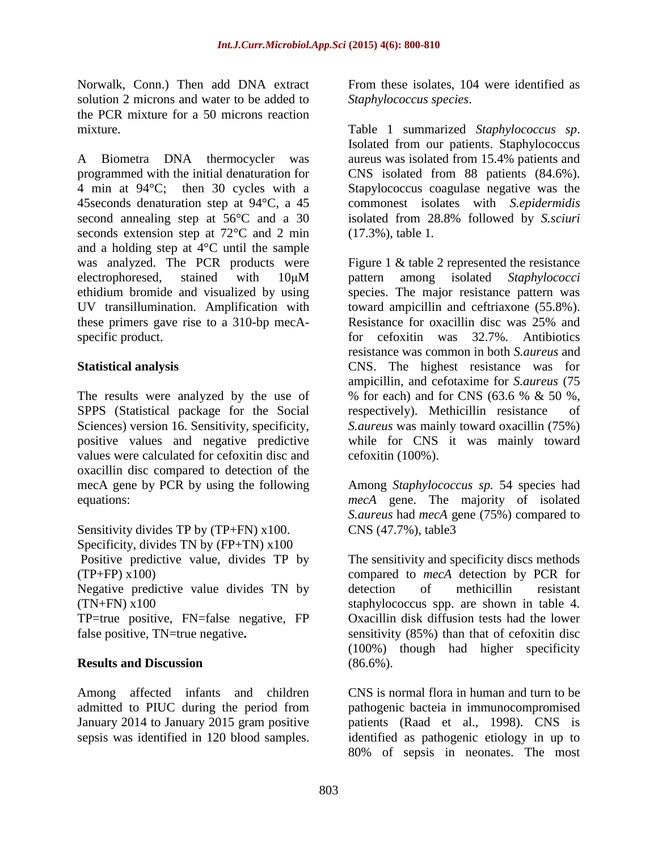Norwalk, Conn.) Then add DNA extract solution 2 microns and water to be added to the PCR mixture for a 50 microns reaction mixture.

A Biometra DNA thermocycler was programmed with the initial denaturation for 4 min at 94°C; then 30 cycles with a 45seconds denaturation step at 94°C, a 45 second annealing step at 56°C and a 30 seconds extension step at 72°C and 2 min and a holding step at 4°C until the sample was analyzed. The PCR products were electrophoresed, stained with 10μM ethidium bromide and visualized by using UV transillumination. Amplification with these primers gave rise to a 310-bp mecAspecific product.

### **Statistical analysis**

The results were analyzed by the use of SPPS (Statistical package for the Social Sciences) version 16. Sensitivity, specificity, positive values and negative predictive values were calculated for cefoxitin disc and oxacillin disc compared to detection of the mecA gene by PCR by using the following equations:

Sensitivity divides TP by (TP+FN) x100. Specificity, divides TN by (FP+TN) x100 Positive predictive value, divides TP by  $(TP+FP)$  x100) Negative predictive value divides TN by  $(TN+FN)$  x100

TP=true positive, FN=false negative, FP false positive, TN=true negative**.** 

### **Results and Discussion**

Among affected infants and children admitted to PIUC during the period from January 2014 to January 2015 gram positive sepsis was identified in 120 blood samples.

From these isolates, 104 were identified as *Staphylococcus species*.

Table 1 summarized *Staphylococcus sp*. Isolated from our patients. Staphylococcus aureus was isolated from 15.4% patients and CNS isolated from 88 patients (84.6%). Stapylococcus coagulase negative was the commonest isolates with *S.epidermidis* isolated from 28.8% followed by *S.sciuri*  (17.3%), table 1*.*

Figure 1 & table 2 represented the resistance pattern among isolated *Staphylococci* species. The major resistance pattern was toward ampicillin and ceftriaxone (55.8%). Resistance for oxacillin disc was 25% and for cefoxitin was 32.7%. Antibiotics resistance was common in both *S.aureus* and CNS. The highest resistance was for ampicillin, and cefotaxime for *S.aureus* (75 % for each) and for CNS (63.6 % & 50 %, respectively). Methicillin resistance of *S.aureus* was mainly toward oxacillin (75%) while for CNS it was mainly toward cefoxitin (100%).

Among *Staphylococcus sp.* 54 species had *mecA* gene. The majority of isolated *S.aureus* had *mecA* gene (75%) compared to CNS (47.7%), table3

The sensitivity and specificity discs methods compared to *mecA* detection by PCR for detection of methicillin resistant staphylococcus spp. are shown in table 4. Oxacillin disk diffusion tests had the lower sensitivity (85%) than that of cefoxitin disc (100%) though had higher specificity  $(86.6\%)$ .

CNS is normal flora in human and turn to be pathogenic bacteia in immunocompromised patients (Raad et al., 1998). CNS is identified as pathogenic etiology in up to 80% of sepsis in neonates. The most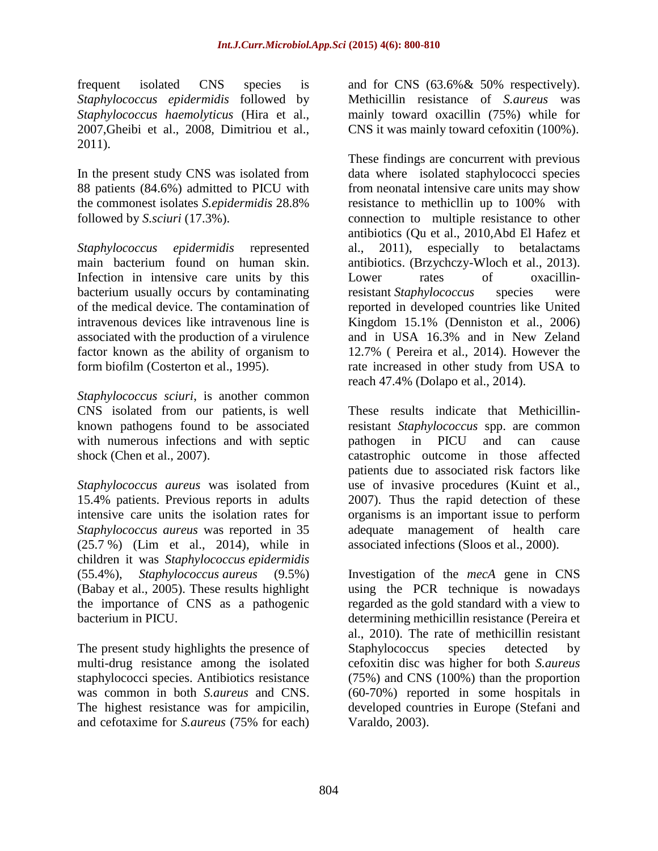frequent isolated CNS species is *Staphylococcus epidermidis* followed by *Staphylococcus haemolyticus* (Hira et al., 2007,Gheibi et al., 2008, Dimitriou et al., 2011).

In the present study CNS was isolated from 88 patients (84.6%) admitted to PICU with the commonest isolates *S.epidermidis* 28.8% followed by *S.sciuri* (17.3%).

*Staphylococcus epidermidis* represented main bacterium found on human skin. Infection in intensive care units by this bacterium usually occurs by contaminating of the medical device. The contamination of intravenous devices like intravenous line is associated with the production of a virulence factor known as the ability of organism to form biofilm (Costerton et al., 1995).

*Staphylococcus sciuri*, is another common CNS isolated from our patients, is well known pathogens found to be associated with numerous infections and with septic shock (Chen et al., 2007).

*Staphylococcus aureus* was isolated from 15.4% patients. Previous reports in adults intensive care units the isolation rates for *Staphylococcus aureus* was reported in 35 (25.7 %) (Lim et al., 2014), while in children it was *Staphylococcus epidermidis* (55.4%), *Staphylococcus aureus* (9.5%) (Babay et al., 2005). These results highlight the importance of CNS as a pathogenic bacterium in PICU.

The present study highlights the presence of multi-drug resistance among the isolated staphylococci species. Antibiotics resistance was common in both *S.aureus* and CNS. The highest resistance was for ampicilin, and cefotaxime for *S.aureus* (75% for each) and for CNS (63.6%& 50% respectively). Methicillin resistance of *S.aureus* was mainly toward oxacillin (75%) while for CNS it was mainly toward cefoxitin (100%).

These findings are concurrent with previous data where isolated staphylococci species from neonatal intensive care units may show resistance to methicllin up to 100% with connection to multiple resistance to other antibiotics (Qu et al., 2010,Abd El Hafez et al., 2011), especially to betalactams antibiotics. (Brzychczy-Wloch et al., 2013). Lower rates of oxacillinresistant *Staphylococcus* species were reported in developed countries like United Kingdom 15.1% (Denniston et al., 2006) and in USA 16.3% and in New Zeland 12.7% ( [Pereira](http://www.ncbi.nlm.nih.gov/pubmed/?term=Pereira%20VC%5Bauth%5D) et al., 2014). However the rate increased in other study from USA to reach 47.4% (Dolapo et al., 2014).

These results indicate that Methicillinresistant *Staphylococcus* spp. are common pathogen in PICU and can cause catastrophic outcome in those affected patients due to associated risk factors like use of invasive procedures (Kuint et al., 2007). Thus the rapid detection of these organisms is an important issue to perform adequate management of health care associated infections (Sloos et al., 2000).

Investigation of the *mecA* gene in CNS using the PCR technique is nowadays regarded as the gold standard with a view to determining methicillin resistance (Pereira et al., 2010). The rate of methicillin resistant Staphylococcus species detected by cefoxitin disc was higher for both *S.aureus* (75%) and CNS (100%) than the proportion (60-70%) reported in some hospitals in developed countries in Europe (Stefani and Varaldo, 2003).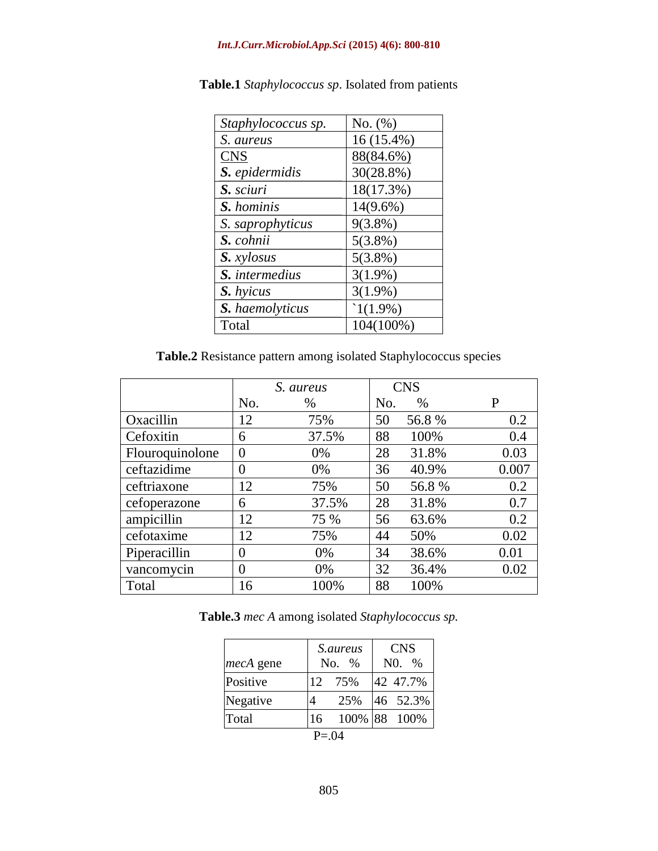#### *Int.J.Curr.Microbiol.App.Sci* **(2015) 4(6): 800-810**

| Staphylococcus sp. | No. (%)      |
|--------------------|--------------|
| S. aureus          | $16(15.4\%)$ |
| <b>CNS</b>         | 88(84.6%)    |
| S. epidermidis     | 30(28.8%)    |
| S. sciuri          | 18(17.3%)    |
| S. hominis         | 14(9.6%)     |
| S. saprophyticus   | $9(3.8\%)$   |
| S. cohnii          | $5(3.8\%)$   |
| S. xylosus         | $5(3.8\%)$   |
| S. intermedius     | $3(1.9\%)$   |
| S. hyicus          | $3(1.9\%)$   |
| S. haemolyticus    | $1(1.9\%)$   |
| Total              | 104(100%)    |

**Table.1** *Staphylococcus sp*. Isolated from patients

**Table.2** Resistance pattern among isolated Staphylococcus species

|                 | S. aureus |       | <b>CNS</b> |       |       |
|-----------------|-----------|-------|------------|-------|-------|
|                 | No.       | $\%$  | No.        | $\%$  | P     |
| Oxacillin       | 12        | 75%   | 50         | 56.8% | 0.2   |
| Cefoxitin       | 6         | 37.5% | 88         | 100%  | 0.4   |
| Flouroquinolone | $\theta$  | 0%    | 28         | 31.8% | 0.03  |
| ceftazidime     | $\theta$  | $0\%$ | 36         | 40.9% | 0.007 |
| ceftriaxone     | 12        | 75%   | 50         | 56.8% | 0.2   |
| cefoperazone    | 6         | 37.5% | 28         | 31.8% | 0.7   |
| ampicillin      | 12        | 75 %  | 56         | 63.6% | 0.2   |
| cefotaxime      | 12        | 75%   | 44         | 50%   | 0.02  |
| Piperacillin    | 0         | 0%    | 34         | 38.6% | 0.01  |
| vancomycin      | 0         | 0%    | 32         | 36.4% | 0.02  |
| Total           | 16        | 100%  | 88         | 100%  |       |

**Table.3** *mec A* among isolated *Staphylococcus sp.*

|                  |    | <i>S.aureus</i> |  | <b>CNS</b>   |  |
|------------------|----|-----------------|--|--------------|--|
| <i>mecA</i> gene |    | No. %           |  | $N0^{96}$    |  |
| Positive         | 12 | 75%             |  | 42 47.7%     |  |
| Negative         | 4  | 25%             |  | 46 52.3%     |  |
| Total            | 16 |                 |  | 100% 88 100% |  |
| $P = 0.04$       |    |                 |  |              |  |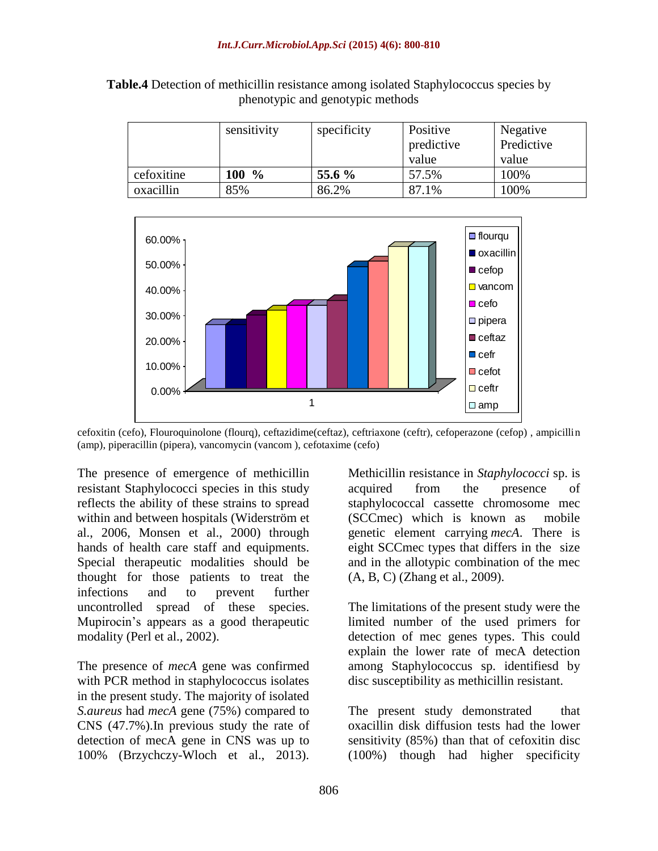|            | sensitivity | specificity | Positive<br>predictive<br>value | Negative<br>Predictive<br>value |
|------------|-------------|-------------|---------------------------------|---------------------------------|
| cefoxitine | 100 %       | 55.6 %      | 57.5%                           | 100%                            |
| oxacillin  | 85%         | 86.2%       | 87.1%                           | 100%                            |

**Table.4** Detection of methicillin resistance among isolated Staphylococcus species by phenotypic and genotypic methods



cefoxitin (cefo), Flouroquinolone (flourq), ceftazidime(ceftaz), ceftriaxone (ceftr), cefoperazone (cefop) , ampicillin (amp), piperacillin (pipera), vancomycin (vancom ), cefotaxime (cefo)

The presence of emergence of methicillin resistant Staphylococci species in this study reflects the ability of these strains to spread within and between hospitals (Widerström et al., 2006, Monsen et al., 2000) through hands of health care staff and equipments. Special therapeutic modalities should be thought for those patients to treat the infections and to prevent further uncontrolled spread of these species. Mupirocin's appears as a good therapeutic modality (Perl et al., 2002).

The presence of *mecA* gene was confirmed with PCR method in staphylococcus isolates in the present study. The majority of isolated *S.aureus* had *mecA* gene (75%) compared to CNS (47.7%).In previous study the rate of detection of mecA gene in CNS was up to 100% (Brzychczy-Wloch et al., 2013).

Methicillin resistance in *Staphylococci* sp. is acquired from the presence of staphylococcal cassette chromosome mec (SCCmec) which is known as mobile genetic element carrying *mecA*. There is eight SCCmec types that differs in the size and in the allotypic combination of the mec (A, B, C) (Zhang et al., 2009).

The limitations of the present study were the limited number of the used primers for detection of mec genes types. This could explain the lower rate of mecA detection among Staphylococcus sp. identifiesd by disc susceptibility as methicillin resistant.

The present study demonstrated that oxacillin disk diffusion tests had the lower sensitivity (85%) than that of cefoxitin disc (100%) though had higher specificity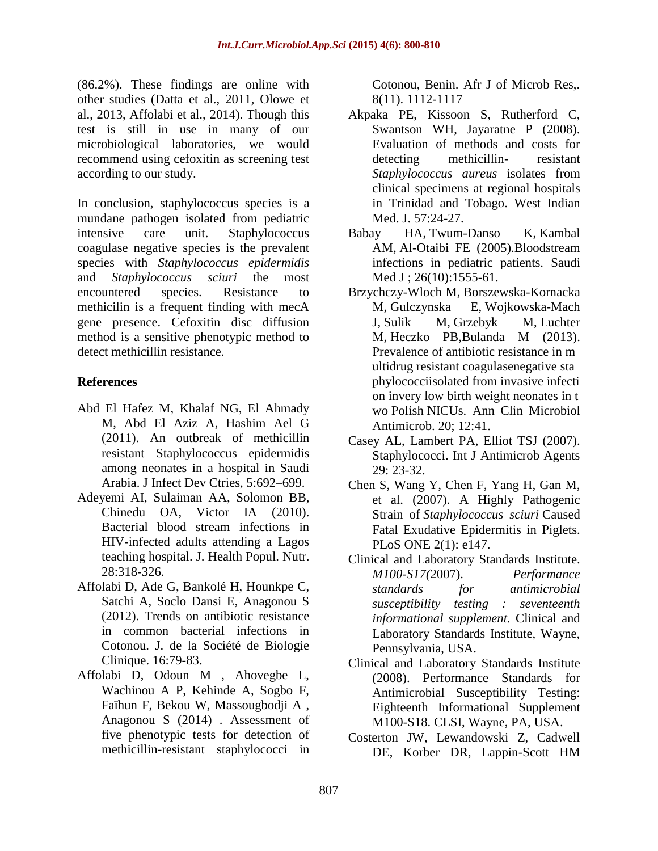(86.2%). These findings are online with other studies (Datta et al., 2011, Olowe et al., 2013, Affolabi et al., 2014). Though this test is still in use in many of our microbiological laboratories, we would recommend using cefoxitin as screening test according to our study.

In conclusion, staphylococcus species is a mundane pathogen isolated from pediatric intensive care unit. Staphylococcus coagulase negative species is the prevalent species with *Staphylococcus epidermidis* and *Staphylococcus sciuri* the most encountered species. Resistance to methicilin is a frequent finding with mecA gene presence. Cefoxitin disc diffusion method is a sensitive phenotypic method to detect methicillin resistance.

## **References**

- Abd El Hafez M, Khalaf NG, El Ahmady M, Abd El Aziz A, Hashim Ael G (2011). An outbreak of methicillin resistant Staphylococcus epidermidis among neonates in a hospital in Saudi Arabia. J Infect Dev Ctries, 5:692–699.
- Adeyemi AI, Sulaiman AA, Solomon BB, Chinedu OA, Victor IA (2010). Bacterial blood stream infections in HIV-infected adults attending a Lagos teaching hospital. J. Health Popul. Nutr. 28:318-326.
- Affolabi D, Ade G, Bankolé H, Hounkpe C, Satchi A, Soclo Dansi E, Anagonou S (2012). Trends on antibiotic resistance in common bacterial infections in Cotonou. J. de la Société de Biologie Clinique. 16:79-83.
- Affolabi D, Odoun M , Ahovegbe L, Wachinou A P, Kehinde A, Sogbo F, Faïhun F, Bekou W, Massougbodji A , Anagonou S (2014) . Assessment of five phenotypic tests for detection of methicillin-resistant staphylococci in

Cotonou, Benin. Afr J of Microb Res,. 8(11). 1112-1117

- Akpaka PE, Kissoon S, Rutherford C, Swantson WH, Jayaratne P (2008). Evaluation of methods and costs for detecting methicillin- resistant *Staphylococcus aureus* isolates from clinical specimens at regional hospitals in Trinidad and Tobago. West Indian Med. J. 57:24-27.
- [Babay HA,](http://www.ncbi.nlm.nih.gov/pubmed/?term=Babay%20HA%5BAuthor%5D&cauthor=true&cauthor_uid=16228055) [Twum-Danso K,](http://www.ncbi.nlm.nih.gov/pubmed/?term=Twum-Danso%20K%5BAuthor%5D&cauthor=true&cauthor_uid=16228055) [Kambal](http://www.ncbi.nlm.nih.gov/pubmed/?term=Kambal%20AM%5BAuthor%5D&cauthor=true&cauthor_uid=16228055)  [AM,](http://www.ncbi.nlm.nih.gov/pubmed/?term=Kambal%20AM%5BAuthor%5D&cauthor=true&cauthor_uid=16228055) [Al-Otaibi FE](http://www.ncbi.nlm.nih.gov/pubmed/?term=Al-Otaibi%20FE%5BAuthor%5D&cauthor=true&cauthor_uid=16228055) (2005).Bloodstream infections in pediatric patients. [Saudi](http://www.ncbi.nlm.nih.gov/pubmed/16228055)  [Med J](http://www.ncbi.nlm.nih.gov/pubmed/16228055); 26(10):1555-61.
- [Brzychczy-Wloch M,](http://www.ncbi.nlm.nih.gov/pubmed/?term=Brzychczy-Wloch%20M%5BAuthor%5D&cauthor=true&cauthor_uid=24359473) [Borszewska-Kornacka](http://www.ncbi.nlm.nih.gov/pubmed/?term=Borszewska-Kornacka%20M%5BAuthor%5D&cauthor=true&cauthor_uid=24359473)  [M,](http://www.ncbi.nlm.nih.gov/pubmed/?term=Borszewska-Kornacka%20M%5BAuthor%5D&cauthor=true&cauthor_uid=24359473) [Gulczynska E,](http://www.ncbi.nlm.nih.gov/pubmed/?term=Gulczynska%20E%5BAuthor%5D&cauthor=true&cauthor_uid=24359473) [Wojkowska-Mach](http://www.ncbi.nlm.nih.gov/pubmed/?term=Wojkowska-Mach%20J%5BAuthor%5D&cauthor=true&cauthor_uid=24359473)  [J,](http://www.ncbi.nlm.nih.gov/pubmed/?term=Wojkowska-Mach%20J%5BAuthor%5D&cauthor=true&cauthor_uid=24359473) [Sulik M,](http://www.ncbi.nlm.nih.gov/pubmed/?term=Sulik%20M%5BAuthor%5D&cauthor=true&cauthor_uid=24359473) [Grzebyk M,](http://www.ncbi.nlm.nih.gov/pubmed/?term=Grzebyk%20M%5BAuthor%5D&cauthor=true&cauthor_uid=24359473) [Luchter](http://www.ncbi.nlm.nih.gov/pubmed/?term=Luchter%20M%5BAuthor%5D&cauthor=true&cauthor_uid=24359473)  [M,](http://www.ncbi.nlm.nih.gov/pubmed/?term=Luchter%20M%5BAuthor%5D&cauthor=true&cauthor_uid=24359473) [Heczko PB,](http://www.ncbi.nlm.nih.gov/pubmed/?term=Heczko%20PB%5BAuthor%5D&cauthor=true&cauthor_uid=24359473)[Bulanda M](http://www.ncbi.nlm.nih.gov/pubmed/?term=Bulanda%20M%5BAuthor%5D&cauthor=true&cauthor_uid=24359473) (2013). Prevalence of antibiotic resistance in m ultidrug resistant coagulasenegative sta phylococciisolated from invasive infecti on invery low birth weight neonates in t wo Polish NICUs. [Ann Clin Microbiol](http://www.ncbi.nlm.nih.gov/pubmed/?term=Prevalence+of+antibiotic+resistance+in+multi-drug+resistant+coagulase-negative+staphylococci+isolated+from+invasive+infection+in+very+low+birth+weight+neonates+in+two+Polish+NICUs)  [Antimicrob.](http://www.ncbi.nlm.nih.gov/pubmed/?term=Prevalence+of+antibiotic+resistance+in+multi-drug+resistant+coagulase-negative+staphylococci+isolated+from+invasive+infection+in+very+low+birth+weight+neonates+in+two+Polish+NICUs) 20; 12:41.
- Casey AL, Lambert PA, Elliot TSJ (2007). Staphylococci. Int J Antimicrob Agents 29: 23-32.
- Chen S, Wang Y, Chen F, Yang H, Gan M, et al. (2007). A Highly Pathogenic Strain of *Staphylococcus sciuri* Caused Fatal Exudative Epidermitis in Piglets. PLoS ONE 2(1): e147.
- Clinical and Laboratory Standards Institute. *M100-S17(*2007). *Performance standards for antimicrobial susceptibility testing : seventeenth informational supplement.* Clinical and Laboratory Standards Institute, Wayne, Pennsylvania, USA.
- Clinical and Laboratory Standards Institute (2008). Performance Standards for Antimicrobial Susceptibility Testing: Eighteenth Informational Supplement M100-S18. CLSI, Wayne, PA, USA.
- Costerton JW, Lewandowski Z, Cadwell DE, Korber DR, Lappin-Scott HM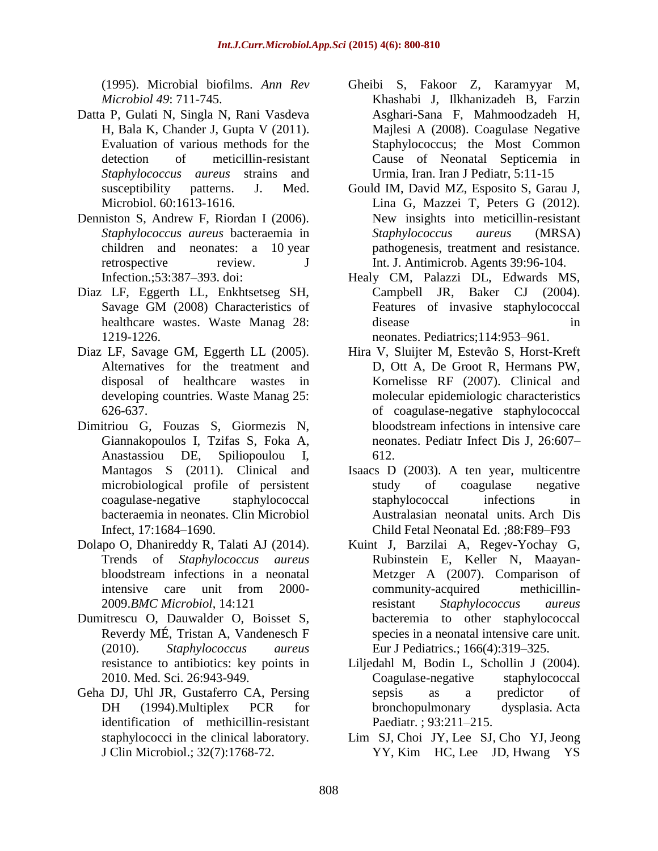(1995). Microbial biofilms. *Ann Rev Microbiol 49*: 711-745.

- Datta P, Gulati N, Singla N, Rani Vasdeva H, Bala K, Chander J, Gupta V (2011). Evaluation of various methods for the detection of meticillin-resistant *Staphylococcus aureus* strains and susceptibility patterns. J. Med. Microbiol. 60:1613-1616.
- Denniston S, Andrew F, Riordan I (2006). *Staphylococcus aureus* bacteraemia in children and neonates: a 10 year retrospective review. J Infection.;53:387–393. doi:
- Diaz LF, Eggerth LL, Enkhtsetseg SH, Savage GM (2008) Characteristics of healthcare wastes. Waste Manag 28: 1219-1226.
- Diaz LF, Savage GM, Eggerth LL (2005). Alternatives for the treatment and disposal of healthcare wastes in developing countries. Waste Manag 25: 626-637.
- Dimitriou G, Fouzas S, Giormezis N, Giannakopoulos I, Tzifas S, Foka A, Anastassiou DE, Spiliopoulou I, Mantagos S (2011). Clinical and microbiological profile of persistent coagulase-negative staphylococcal bacteraemia in neonates. Clin Microbiol Infect, 17:1684–1690.
- Dolapo O, Dhanireddy R, Talati AJ (2014). Trends of *Staphylococcus aureus*  bloodstream infections in a neonatal intensive care unit from 2000- 2009.*BMC Microbiol*, 14:121
- Dumitrescu O, Dauwalder O, Boisset S, Reverdy MÉ, Tristan A, Vandenesch F (2010). *Staphylococcus aureus*  resistance to antibiotics: key points in 2010. Med. Sci. 26:943-949.
- [Geha DJ,](http://www.ncbi.nlm.nih.gov/pubmed/?term=Geha%20DJ%5BAuthor%5D&cauthor=true&cauthor_uid=7929772) [Uhl JR,](http://www.ncbi.nlm.nih.gov/pubmed/?term=Uhl%20JR%5BAuthor%5D&cauthor=true&cauthor_uid=7929772) [Gustaferro CA,](http://www.ncbi.nlm.nih.gov/pubmed/?term=Gustaferro%20CA%5BAuthor%5D&cauthor=true&cauthor_uid=7929772) [Persing](http://www.ncbi.nlm.nih.gov/pubmed/?term=Persing%20DH%5BAuthor%5D&cauthor=true&cauthor_uid=7929772)  [DH](http://www.ncbi.nlm.nih.gov/pubmed/?term=Persing%20DH%5BAuthor%5D&cauthor=true&cauthor_uid=7929772) (1994).Multiplex PCR for identification of methicillin-resistant staphylococci in the clinical laboratory. [J Clin Microbiol.;](http://www.ncbi.nlm.nih.gov/pubmed/7929772?dopt=Abstract) 32(7):1768-72.
- Gheibi S, Fakoor Z, Karamyyar M, Khashabi J, Ilkhanizadeh B, Farzin Asghari-Sana F, Mahmoodzadeh H, Majlesi A (2008). Coagulase Negative Staphylococcus; the Most Common Cause of Neonatal Septicemia in Urmia, Iran. Iran J Pediatr, 5:11-15
- Gould IM, David MZ, Esposito S, Garau J, Lina G, Mazzei T, Peters G (2012). New insights into meticillin-resistant *Staphylococcus aureus* (MRSA) pathogenesis, treatment and resistance. Int. J. Antimicrob. Agents 39:96-104.
- Healy CM, Palazzi DL, Edwards MS, Campbell JR, Baker CJ (2004). Features of invasive staphylococcal disease in neonates. Pediatrics;114:953–961.
- Hira V, Sluijter M, Estevão S, Horst-Kreft D, Ott A, De Groot R, Hermans PW, Kornelisse RF (2007). Clinical and molecular epidemiologic characteristics of coagulase-negative staphylococcal bloodstream infections in intensive care neonates. Pediatr Infect Dis J, 26:607– 612.
- Isaacs D (2003). A ten year, multicentre study of coagulase negative staphylococcal infections in Australasian neonatal units. Arch Dis Child Fetal Neonatal Ed. ;88:F89–F93
- Kuint J, Barzilai A, Regev-Yochay G, Rubinstein E, Keller N, Maayan-Metzger A (2007). Comparison of community-acquired methicillinresistant *Staphylococcus aureus* bacteremia to other staphylococcal species in a neonatal intensive care unit. Eur J Pediatrics.; 166(4):319–325.
- Liljedahl M, Bodin L, Schollin J (2004). Coagulase-negative staphylococcal sepsis as a predictor of bronchopulmonary dysplasia. Acta Paediatr. ; 93:211–215.
- [Lim SJ,](http://www.ncbi.nlm.nih.gov/pubmed/?term=Lim%20SJ%5BAuthor%5D&cauthor=true&cauthor_uid=25030309) [Choi JY,](http://www.ncbi.nlm.nih.gov/pubmed/?term=Choi%20JY%5BAuthor%5D&cauthor=true&cauthor_uid=25030309) [Lee SJ,](http://www.ncbi.nlm.nih.gov/pubmed/?term=Lee%20SJ%5BAuthor%5D&cauthor=true&cauthor_uid=25030309) [Cho YJ,](http://www.ncbi.nlm.nih.gov/pubmed/?term=Cho%20YJ%5BAuthor%5D&cauthor=true&cauthor_uid=25030309) [Jeong](http://www.ncbi.nlm.nih.gov/pubmed/?term=Jeong%20YY%5BAuthor%5D&cauthor=true&cauthor_uid=25030309)  [YY,](http://www.ncbi.nlm.nih.gov/pubmed/?term=Jeong%20YY%5BAuthor%5D&cauthor=true&cauthor_uid=25030309) [Kim HC,](http://www.ncbi.nlm.nih.gov/pubmed/?term=Kim%20HC%5BAuthor%5D&cauthor=true&cauthor_uid=25030309) [Lee JD,](http://www.ncbi.nlm.nih.gov/pubmed/?term=Lee%20JD%5BAuthor%5D&cauthor=true&cauthor_uid=25030309) [Hwang YS](http://www.ncbi.nlm.nih.gov/pubmed/?term=Hwang%20YS%5BAuthor%5D&cauthor=true&cauthor_uid=25030309)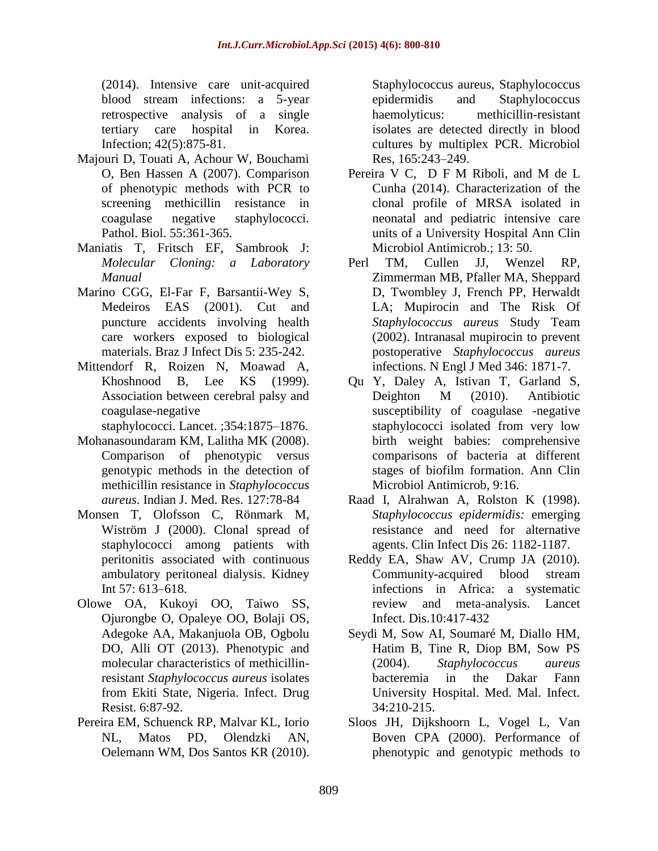(2014). Intensive care unit-acquired blood stream infections: a 5-year retrospective analysis of a single tertiary care hospital in Korea. [Infection;](http://www.ncbi.nlm.nih.gov/pubmed/25030309) 42(5):875-81.

- Majouri D, Touati A, Achour W, Bouchami O, Ben Hassen A (2007). Comparison of phenotypic methods with PCR to screening methicillin resistance in coagulase negative staphylococci. Pathol. Biol. 55:361-365.
- Maniatis T, Fritsch EF, Sambrook J: *Molecular Cloning: a Laboratory Manual*
- Marino CGG, El-Far F, Barsantii-Wey S, Medeiros EAS (2001). Cut and puncture accidents involving health care workers exposed to biological materials. Braz J Infect Dis 5: 235-242.
- Mittendorf R, Roizen N, Moawad A, Khoshnood B, Lee KS (1999). Association between cerebral palsy and coagulase-negative

staphylococci. Lancet. ;354:1875–1876.

- Mohanasoundaram KM, Lalitha MK (2008). Comparison of phenotypic versus genotypic methods in the detection of methicillin resistance in *Staphylococcus aureus*. Indian J. Med. Res. 127:78-84
- Monsen T, Olofsson C, Rönmark M, Wiström J (2000). Clonal spread of staphylococci among patients with peritonitis associated with continuous ambulatory peritoneal dialysis. Kidney Int 57: 613–618.
- Olowe OA, Kukoyi OO, Taiwo SS, Ojurongbe O, Opaleye OO, Bolaji OS, Adegoke AA, Makanjuola OB, Ogbolu DO, Alli OT (2013). Phenotypic and molecular characteristics of methicillinresistant *Staphylococcus aureus* isolates from Ekiti State, Nigeria. Infect. Drug Resist. 6:87-92.
- Pereira EM, Schuenck RP, Malvar KL, Iorio NL, Matos PD, Olendzki AN, Oelemann WM, Dos Santos KR (2010).

Staphylococcus aureus, Staphylococcus epidermidis and Staphylococcus haemolyticus: methicillin-resistant isolates are detected directly in blood cultures by multiplex PCR. Microbiol Res, 165:243–249.

- [Pereira](http://www.ncbi.nlm.nih.gov/pubmed/?term=Pereira%20VC%5Bauth%5D) V C, [D F M Riboli,](http://www.ncbi.nlm.nih.gov/pubmed/?term=Riboli%20DF%5Bauth%5D) and [M de L](http://www.ncbi.nlm.nih.gov/pubmed/?term=da%20Cunha%20Md%5Bauth%5D)  [Cunha](http://www.ncbi.nlm.nih.gov/pubmed/?term=da%20Cunha%20Md%5Bauth%5D) (2014). Characterization of the clonal profile of MRSA isolated in neonatal and pediatric intensive care units of a University Hospital Ann Clin Microbiol Antimicrob.; 13: 50.
- Perl TM, Cullen JJ, Wenzel RP, Zimmerman MB, Pfaller MA, Sheppard D, Twombley J, French PP, Herwaldt LA; Mupirocin and The Risk Of *Staphylococcus aureus* Study Team (2002). Intranasal mupirocin to prevent postoperative *Staphylococcus aureus*  infections. N Engl J Med 346: 1871-7.
- Qu Y, Daley A, Istivan T, Garland S, Deighton M (2010). Antibiotic susceptibility of coagulase -negative staphylococci isolated from very low birth weight babies: comprehensive comparisons of bacteria at different stages of biofilm formation. Ann Clin Microbiol Antimicrob, 9:16.
- Raad I, Alrahwan A, Rolston K (1998). *Staphylococcus epidermidis:* emerging resistance and need for alternative agents. Clin Infect Dis 26: 1182-1187.
- Reddy EA, Shaw AV, Crump JA (2010). Community-acquired blood stream infections in Africa: a systematic review and meta-analysis. Lancet Infect. Dis.10:417-432
- Seydi M, Sow AI, Soumaré M, Diallo HM, Hatim B, Tine R, Diop BM, Sow PS (2004). *Staphylococcus aureus*  bacteremia in the Dakar Fann University Hospital. Med. Mal. Infect. 34:210-215.
- Sloos JH, Dijkshoorn L, Vogel L, Van Boven CPA (2000). Performance of phenotypic and genotypic methods to